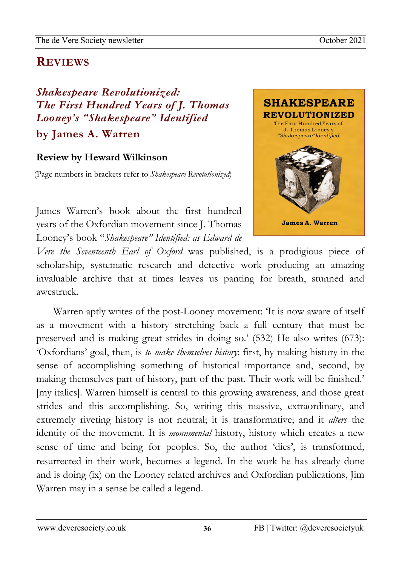## newsletzter<br>1980 - Sterne Sterne Barnett, skriuwski politik<br>1980 - Sterne Barnett, skriuwski politik **REVIEWS**

*Shakespeare Revolutionized: The First Hundred Years of J. Thomas Looney's "Shakespeare" Identified* 

**by James A. Warren**

## **Review by Heward Wilkinson**

(Page numbers in brackets refer to *Shakespeare Revolutionized*)

James Warren's book about the first hundred years of the Oxfordian movement since J. Thomas Looney's book "*Shakespeare" Identified: as Edward de* 



02Apro

*Vere the Seventeenth Earl of Oxford* was published, is a prodigious piece of scholarship, systematic research and detective work producing an amazing invaluable archive that at times leaves us panting for breath, stunned and awestruck.

Warren aptly writes of the post-Looney movement: 'It is now aware of itself as a movement with a history stretching back a full century that must be preserved and is making great strides in doing so.' (532) He also writes (673): 'Oxfordians' goal, then, is *to make themselves history*: first, by making history in the sense of accomplishing something of historical importance and, second, by making themselves part of history, part of the past. Their work will be finished.' [my italics]. Warren himself is central to this growing awareness, and those great strides and this accomplishing. So, writing this massive, extraordinary, and extremely riveting history is not neutral; it is transformative; and it *alters* the identity of the movement. It is *monumental* history, history which creates a new sense of time and being for peoples. So, the author 'dies', is transformed, resurrected in their work, becomes a legend. In the work he has already done and is doing (ix) on the Looney related archives and Oxfordian publications, Jim Warren may in a sense be called a legend.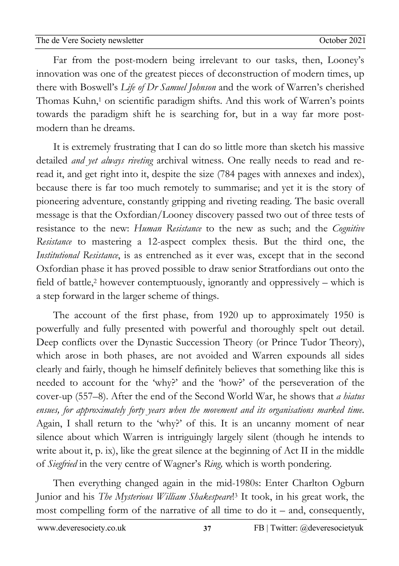02Apro Far from the post-modern being irrelevant to our tasks, then, Looney's newsletzter<br>1980 - Sterne Sterne Barnett, skriuwski politik<br>1980 - Sterne Barnett, skriuwski politik innovation was one of the greatest pieces of deconstruction of modern times, up there with Boswell's *Life of Dr Samuel Johnson* and the work of Warren's cherished Thomas Kuhn,<sup>1</sup> on scientific paradigm shifts. And this work of Warren's points towards the paradigm shift he is searching for, but in a way far more postmodern than he dreams.

It is extremely frustrating that I can do so little more than sketch his massive detailed *and yet always riveting* archival witness. One really needs to read and reread it, and get right into it, despite the size (784 pages with annexes and index), because there is far too much remotely to summarise; and yet it is the story of pioneering adventure, constantly gripping and riveting reading. The basic overall message is that the Oxfordian/Looney discovery passed two out of three tests of resistance to the new: *Human Resistance* to the new as such; and the *Cognitive Resistance* to mastering a 12-aspect complex thesis. But the third one, the *Institutional Resistance*, is as entrenched as it ever was, except that in the second Oxfordian phase it has proved possible to draw senior Stratfordians out onto the field of battle,2 however contemptuously, ignorantly and oppressively – which is a step forward in the larger scheme of things.

The account of the first phase, from 1920 up to approximately 1950 is powerfully and fully presented with powerful and thoroughly spelt out detail. Deep conflicts over the Dynastic Succession Theory (or Prince Tudor Theory), which arose in both phases, are not avoided and Warren expounds all sides clearly and fairly, though he himself definitely believes that something like this is needed to account for the 'why?' and the 'how?' of the perseveration of the cover-up (557–8). After the end of the Second World War, he shows that *a hiatus ensues, for approximately forty years when the movement and its organisations marked time*. Again, I shall return to the 'why?' of this. It is an uncanny moment of near silence about which Warren is intriguingly largely silent (though he intends to write about it, p. ix), like the great silence at the beginning of Act II in the middle of *Siegfried* in the very centre of Wagner's *Ring,* which is worth pondering.

Then everything changed again in the mid-1980s: Enter Charlton Ogburn Junior and his *The Mysterious William Shakespeare*! <sup>3</sup> It took, in his great work, the most compelling form of the narrative of all time to do it – and, consequently,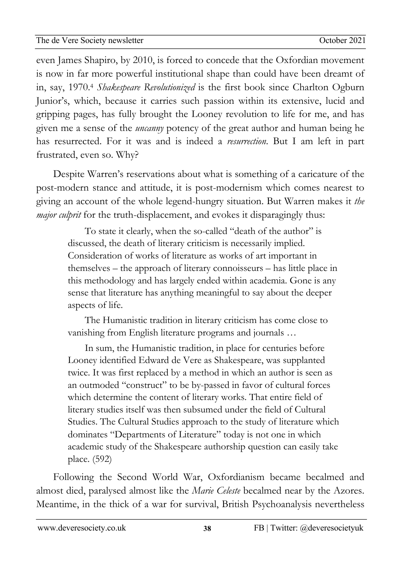02Apro even James Shapiro, by 2010, is forced to concede that the Oxfordian movement newsletzter<br>1980 - Sterne Sterne Barnett, skriuwski politik<br>1980 - Sterne Barnett, skriuwski politik is now in far more powerful institutional shape than could have been dreamt of in, say, 1970.4 *Shakespeare Revolutionized* is the first book since Charlton Ogburn Junior's, which, because it carries such passion within its extensive, lucid and gripping pages, has fully brought the Looney revolution to life for me, and has given me a sense of the *uncanny* potency of the great author and human being he has resurrected. For it was and is indeed a *resurrection*. But I am left in part frustrated, even so. Why?

Despite Warren's reservations about what is something of a caricature of the post-modern stance and attitude, it is post-modernism which comes nearest to giving an account of the whole legend-hungry situation. But Warren makes it *the major culprit* for the truth-displacement, and evokes it disparagingly thus:

To state it clearly, when the so-called "death of the author" is discussed, the death of literary criticism is necessarily implied. Consideration of works of literature as works of art important in themselves – the approach of literary connoisseurs – has little place in this methodology and has largely ended within academia. Gone is any sense that literature has anything meaningful to say about the deeper aspects of life.

The Humanistic tradition in literary criticism has come close to vanishing from English literature programs and journals …

In sum, the Humanistic tradition, in place for centuries before Looney identified Edward de Vere as Shakespeare, was supplanted twice. It was first replaced by a method in which an author is seen as an outmoded "construct" to be by-passed in favor of cultural forces which determine the content of literary works. That entire field of literary studies itself was then subsumed under the field of Cultural Studies. The Cultural Studies approach to the study of literature which dominates "Departments of Literature" today is not one in which academic study of the Shakespeare authorship question can easily take place. (592)

Following the Second World War, Oxfordianism became becalmed and almost died, paralysed almost like the *Marie Celeste* becalmed near by the Azores. Meantime, in the thick of a war for survival, British Psychoanalysis nevertheless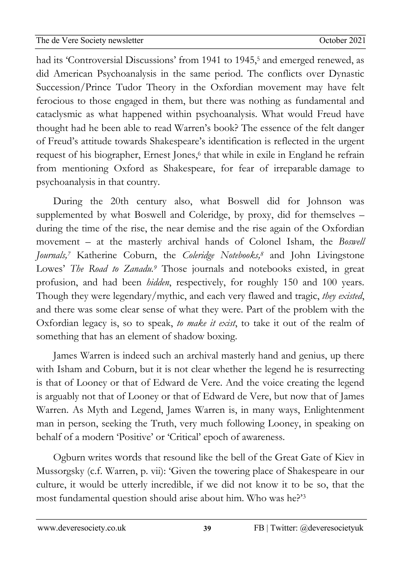02Apro had its 'Controversial Discussions' from 1941 to 1945,<sup>5</sup> and emerged renewed, as newsletzter<br>1980 - Sterne Sterne Barnett, skriuwski politik<br>1980 - Sterne Barnett, skriuwski politik did American Psychoanalysis in the same period. The conflicts over Dynastic Succession/Prince Tudor Theory in the Oxfordian movement may have felt ferocious to those engaged in them, but there was nothing as fundamental and cataclysmic as what happened within psychoanalysis. What would Freud have thought had he been able to read Warren's book? The essence of the felt danger of Freud's attitude towards Shakespeare's identification is reflected in the urgent request of his biographer, Ernest Jones,<sup>6</sup> that while in exile in England he refrain from mentioning Oxford as Shakespeare, for fear of irreparable damage to psychoanalysis in that country.

During the 20th century also, what Boswell did for Johnson was supplemented by what Boswell and Coleridge, by proxy, did for themselves – during the time of the rise, the near demise and the rise again of the Oxfordian movement – at the masterly archival hands of Colonel Isham, the *Boswell Journals,7* Katherine Coburn, the *Coleridge Notebooks,8* and John Livingstone Lowes' *The Road to Zanadu.*<sup>9</sup> Those journals and notebooks existed, in great profusion, and had been *hidden*, respectively, for roughly 150 and 100 years. Though they were legendary/mythic, and each very flawed and tragic, *they existed*, and there was some clear sense of what they were. Part of the problem with the Oxfordian legacy is, so to speak, *to make it exist*, to take it out of the realm of something that has an element of shadow boxing.

James Warren is indeed such an archival masterly hand and genius, up there with Isham and Coburn, but it is not clear whether the legend he is resurrecting is that of Looney or that of Edward de Vere. And the voice creating the legend is arguably not that of Looney or that of Edward de Vere, but now that of James Warren. As Myth and Legend, James Warren is, in many ways, Enlightenment man in person, seeking the Truth, very much following Looney, in speaking on behalf of a modern 'Positive' or 'Critical' epoch of awareness.

Ogburn writes words that resound like the bell of the Great Gate of Kiev in Mussorgsky (c.f. Warren, p. vii): 'Given the towering place of Shakespeare in our culture, it would be utterly incredible, if we did not know it to be so, that the most fundamental question should arise about him. Who was he?'3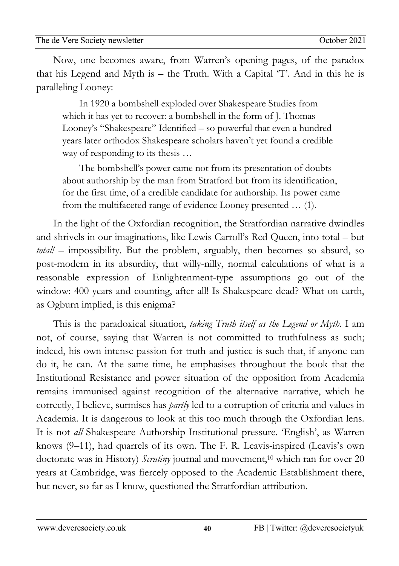02Apro Now, one becomes aware, from Warren's opening pages, of the paradox newsletzter<br>1980 - Sterne Sterne Barnett, skriuwski politik<br>1980 - Sterne Barnett, skriuwski politik that his Legend and Myth is – the Truth. With a Capital 'T'. And in this he is paralleling Looney:

In 1920 a bombshell exploded over Shakespeare Studies from which it has yet to recover: a bombshell in the form of J. Thomas Looney's "Shakespeare" Identified – so powerful that even a hundred years later orthodox Shakespeare scholars haven't yet found a credible way of responding to its thesis ...

The bombshell's power came not from its presentation of doubts about authorship by the man from Stratford but from its identification, for the first time, of a credible candidate for authorship. Its power came from the multifaceted range of evidence Looney presented … (1).

In the light of the Oxfordian recognition, the Stratfordian narrative dwindles and shrivels in our imaginations, like Lewis Carroll's Red Queen, into total – but *total!* – impossibility. But the problem, arguably, then becomes so absurd, so post-modern in its absurdity, that willy-nilly, normal calculations of what is a reasonable expression of Enlightenment-type assumptions go out of the window: 400 years and counting, after all! Is Shakespeare dead? What on earth, as Ogburn implied, is this enigma?

This is the paradoxical situation, *taking Truth itself as the Legend or Myth*. I am not, of course, saying that Warren is not committed to truthfulness as such; indeed, his own intense passion for truth and justice is such that, if anyone can do it, he can. At the same time, he emphasises throughout the book that the Institutional Resistance and power situation of the opposition from Academia remains immunised against recognition of the alternative narrative, which he correctly, I believe, surmises has *partly* led to a corruption of criteria and values in Academia. It is dangerous to look at this too much through the Oxfordian lens. It is not *all* Shakespeare Authorship Institutional pressure. 'English', as Warren knows (9–11), had quarrels of its own. The F. R. Leavis-inspired (Leavis's own doctorate was in History) *Scrutiny* journal and movement,10 which ran for over 20 years at Cambridge, was fiercely opposed to the Academic Establishment there, but never, so far as I know, questioned the Stratfordian attribution.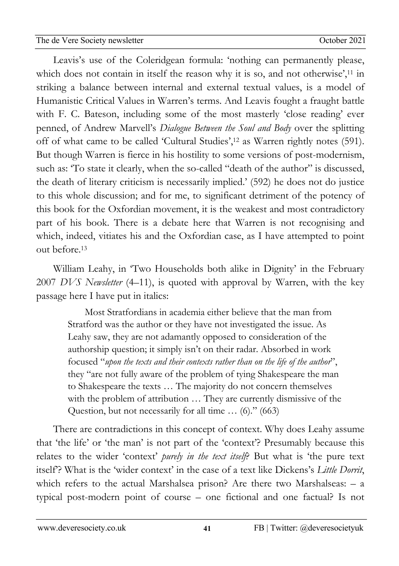02Apro Leavis's use of the Coleridgean formula: 'nothing can permanently please, newsletzter<br>1980 - Sterne Sterne Barnett, skriuwski politik<br>1980 - Sterne Barnett, skriuwski politik which does not contain in itself the reason why it is so, and not otherwise',<sup>11</sup> in striking a balance between internal and external textual values, is a model of Humanistic Critical Values in Warren's terms. And Leavis fought a fraught battle with F. C. Bateson, including some of the most masterly 'close reading' ever penned, of Andrew Marvell's *Dialogue Between the Soul and Body* over the splitting off of what came to be called 'Cultural Studies',12 as Warren rightly notes (591). But though Warren is fierce in his hostility to some versions of post-modernism, such as: 'To state it clearly, when the so-called "death of the author" is discussed, the death of literary criticism is necessarily implied.' (592) he does not do justice to this whole discussion; and for me, to significant detriment of the potency of this book for the Oxfordian movement, it is the weakest and most contradictory part of his book. There is a debate here that Warren is not recognising and which, indeed, vitiates his and the Oxfordian case, as I have attempted to point out before.13

William Leahy, in 'Two Households both alike in Dignity' in the February 2007 *DVS Newsletter* (4–11), is quoted with approval by Warren, with the key passage here I have put in italics:

Most Stratfordians in academia either believe that the man from Stratford was the author or they have not investigated the issue. As Leahy saw, they are not adamantly opposed to consideration of the authorship question; it simply isn't on their radar. Absorbed in work focused "*upon the texts and their contexts rather than on the life of the author*", they "are not fully aware of the problem of tying Shakespeare the man to Shakespeare the texts … The majority do not concern themselves with the problem of attribution … They are currently dismissive of the Question, but not necessarily for all time … (6)." (663)

There are contradictions in this concept of context. Why does Leahy assume that 'the life' or 'the man' is not part of the 'context'? Presumably because this relates to the wider 'context' *purely in the text itself*? But what is 'the pure text itself'? What is the 'wider context' in the case of a text like Dickens's *Little Dorrit*, which refers to the actual Marshalsea prison? Are there two Marshalseas: – a typical post-modern point of course – one fictional and one factual? Is not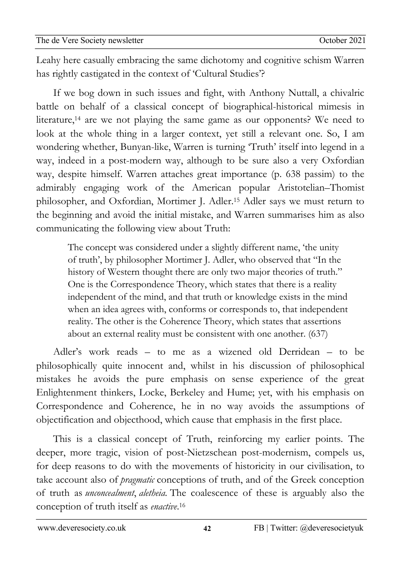02Apro Leahy here casually embracing the same dichotomy and cognitive schism Warren newsletzter<br>1980 - Sterne Sterne Barnett, skriuwski politik<br>1980 - Sterne Barnett, skriuwski politik has rightly castigated in the context of 'Cultural Studies'?

If we bog down in such issues and fight, with Anthony Nuttall, a chivalric battle on behalf of a classical concept of biographical-historical mimesis in literature,14 are we not playing the same game as our opponents? We need to look at the whole thing in a larger context, yet still a relevant one. So, I am wondering whether, Bunyan-like, Warren is turning 'Truth' itself into legend in a way, indeed in a post-modern way, although to be sure also a very Oxfordian way, despite himself. Warren attaches great importance (p. 638 passim) to the admirably engaging work of the American popular Aristotelian–Thomist philosopher, and Oxfordian, Mortimer J. Adler.15 Adler says we must return to the beginning and avoid the initial mistake, and Warren summarises him as also communicating the following view about Truth:

The concept was considered under a slightly different name, 'the unity of truth', by philosopher Mortimer J. Adler, who observed that "In the history of Western thought there are only two major theories of truth." One is the Correspondence Theory, which states that there is a reality independent of the mind, and that truth or knowledge exists in the mind when an idea agrees with, conforms or corresponds to, that independent reality. The other is the Coherence Theory, which states that assertions about an external reality must be consistent with one another. (637)

Adler's work reads – to me as a wizened old Derridean – to be philosophically quite innocent and, whilst in his discussion of philosophical mistakes he avoids the pure emphasis on sense experience of the great Enlightenment thinkers, Locke, Berkeley and Hume; yet, with his emphasis on Correspondence and Coherence, he in no way avoids the assumptions of objectification and objecthood, which cause that emphasis in the first place.

This is a classical concept of Truth, reinforcing my earlier points. The deeper, more tragic, vision of post-Nietzschean post-modernism, compels us, for deep reasons to do with the movements of historicity in our civilisation, to take account also of *pragmatic* conceptions of truth, and of the Greek conception of truth as *unconcealment*, *aletheia.* The coalescence of these is arguably also the conception of truth itself as *enactive*.16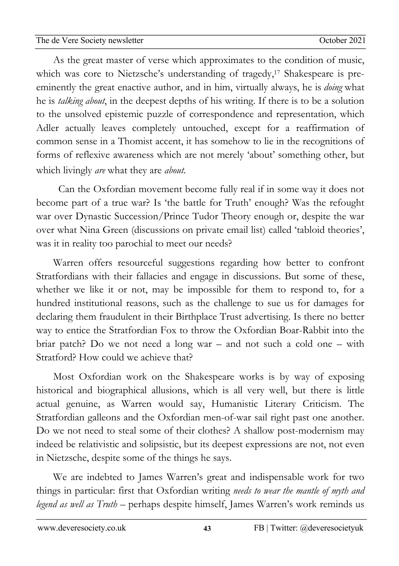02Apro As the great master of verse which approximates to the condition of music, newsletzter<br>1980 - Sterne Sterne Barnett, skriuwski politik<br>1980 - Sterne Barnett, skriuwski politik which was core to Nietzsche's understanding of tragedy,<sup>17</sup> Shakespeare is preeminently the great enactive author, and in him, virtually always, he is *doing* what he is *talking about*, in the deepest depths of his writing. If there is to be a solution to the unsolved epistemic puzzle of correspondence and representation, which Adler actually leaves completely untouched, except for a reaffirmation of common sense in a Thomist accent, it has somehow to lie in the recognitions of forms of reflexive awareness which are not merely 'about' something other, but which livingly *are* what they are *about*.

 Can the Oxfordian movement become fully real if in some way it does not become part of a true war? Is 'the battle for Truth' enough? Was the refought war over Dynastic Succession/Prince Tudor Theory enough or, despite the war over what Nina Green (discussions on private email list) called 'tabloid theories', was it in reality too parochial to meet our needs?

Warren offers resourceful suggestions regarding how better to confront Stratfordians with their fallacies and engage in discussions. But some of these, whether we like it or not, may be impossible for them to respond to, for a hundred institutional reasons, such as the challenge to sue us for damages for declaring them fraudulent in their Birthplace Trust advertising. Is there no better way to entice the Stratfordian Fox to throw the Oxfordian Boar-Rabbit into the briar patch? Do we not need a long war – and not such a cold one – with Stratford? How could we achieve that?

Most Oxfordian work on the Shakespeare works is by way of exposing historical and biographical allusions, which is all very well, but there is little actual genuine, as Warren would say, Humanistic Literary Criticism. The Stratfordian galleons and the Oxfordian men-of-war sail right past one another. Do we not need to steal some of their clothes? A shallow post-modernism may indeed be relativistic and solipsistic, but its deepest expressions are not, not even in Nietzsche, despite some of the things he says.

We are indebted to James Warren's great and indispensable work for two things in particular: first that Oxfordian writing *needs to wear the mantle of myth and legend as well as Truth –* perhaps despite himself, James Warren's work reminds us